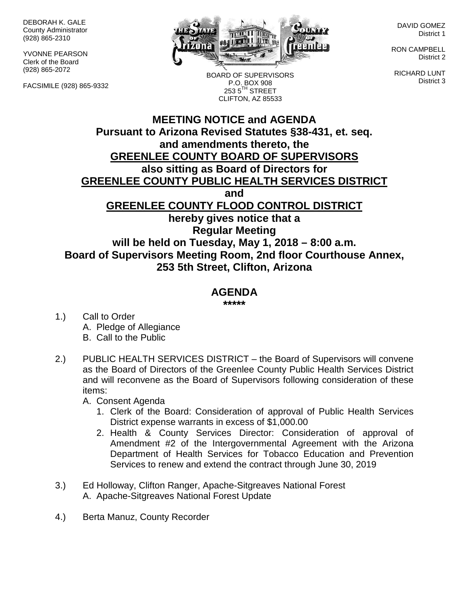DEBORAH K. GALE County Administrator (928) 865-2310

YVONNE PEARSON Clerk of the Board (928) 865-2072

FACSIMILE (928) 865-9332



BOARD OF SUPERVISORS P.O. BOX 908  $2535^{\text{TH}}$  STREET CLIFTON, AZ 85533

DAVID GOMEZ District 1

RON CAMPBELL District 2

RICHARD LUNT District 3

## **MEETING NOTICE and AGENDA Pursuant to Arizona Revised Statutes §38-431, et. seq. and amendments thereto, the GREENLEE COUNTY BOARD OF SUPERVISORS also sitting as Board of Directors for GREENLEE COUNTY PUBLIC HEALTH SERVICES DISTRICT and GREENLEE COUNTY FLOOD CONTROL DISTRICT hereby gives notice that a Regular Meeting will be held on Tuesday, May 1, 2018 – 8:00 a.m. Board of Supervisors Meeting Room, 2nd floor Courthouse Annex, 253 5th Street, Clifton, Arizona**

## **AGENDA**

**\*\*\*\*\***

- 1.) Call to Order A. Pledge of Allegiance B. Call to the Public
- 2.) PUBLIC HEALTH SERVICES DISTRICT the Board of Supervisors will convene as the Board of Directors of the Greenlee County Public Health Services District and will reconvene as the Board of Supervisors following consideration of these items:

A. Consent Agenda

- 1. Clerk of the Board: Consideration of approval of Public Health Services District expense warrants in excess of \$1,000.00
- 2. Health & County Services Director: Consideration of approval of Amendment #2 of the Intergovernmental Agreement with the Arizona Department of Health Services for Tobacco Education and Prevention Services to renew and extend the contract through June 30, 2019
- 3.) Ed Holloway, Clifton Ranger, Apache-Sitgreaves National Forest A. Apache-Sitgreaves National Forest Update
- 4.) Berta Manuz, County Recorder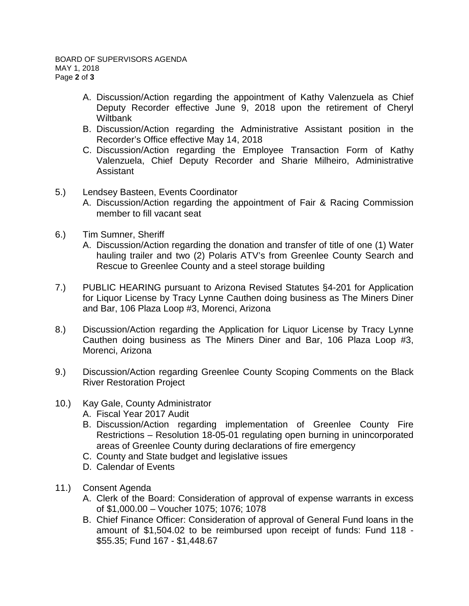- A. Discussion/Action regarding the appointment of Kathy Valenzuela as Chief Deputy Recorder effective June 9, 2018 upon the retirement of Cheryl Wiltbank
- B. Discussion/Action regarding the Administrative Assistant position in the Recorder's Office effective May 14, 2018
- C. Discussion/Action regarding the Employee Transaction Form of Kathy Valenzuela, Chief Deputy Recorder and Sharie Milheiro, Administrative Assistant
- 5.) Lendsey Basteen, Events Coordinator
	- A. Discussion/Action regarding the appointment of Fair & Racing Commission member to fill vacant seat
- 6.) Tim Sumner, Sheriff
	- A. Discussion/Action regarding the donation and transfer of title of one (1) Water hauling trailer and two (2) Polaris ATV's from Greenlee County Search and Rescue to Greenlee County and a steel storage building
- 7.) PUBLIC HEARING pursuant to Arizona Revised Statutes §4-201 for Application for Liquor License by Tracy Lynne Cauthen doing business as The Miners Diner and Bar, 106 Plaza Loop #3, Morenci, Arizona
- 8.) Discussion/Action regarding the Application for Liquor License by Tracy Lynne Cauthen doing business as The Miners Diner and Bar, 106 Plaza Loop #3, Morenci, Arizona
- 9.) Discussion/Action regarding Greenlee County Scoping Comments on the Black River Restoration Project
- 10.) Kay Gale, County Administrator
	- A. Fiscal Year 2017 Audit
	- B. Discussion/Action regarding implementation of Greenlee County Fire Restrictions – Resolution 18-05-01 regulating open burning in unincorporated areas of Greenlee County during declarations of fire emergency
	- C. County and State budget and legislative issues
	- D. Calendar of Events
- 11.) Consent Agenda
	- A. Clerk of the Board: Consideration of approval of expense warrants in excess of \$1,000.00 – Voucher 1075; 1076; 1078
	- B. Chief Finance Officer: Consideration of approval of General Fund loans in the amount of \$1,504.02 to be reimbursed upon receipt of funds: Fund 118 - \$55.35; Fund 167 - \$1,448.67